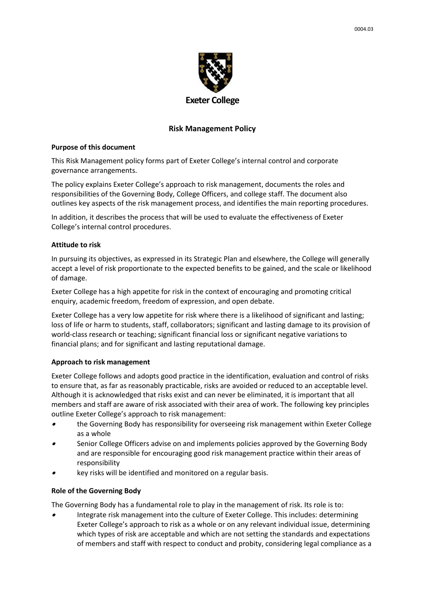

# **Risk Management Policy**

### **Purpose of this document**

This Risk Management policy forms part of Exeter College's internal control and corporate governance arrangements.

The policy explains Exeter College's approach to risk management, documents the roles and responsibilities of the Governing Body, College Officers, and college staff. The document also outlines key aspects of the risk management process, and identifies the main reporting procedures.

In addition, it describes the process that will be used to evaluate the effectiveness of Exeter College's internal control procedures.

### **Attitude to risk**

In pursuing its objectives, as expressed in its Strategic Plan and elsewhere, the College will generally accept a level of risk proportionate to the expected benefits to be gained, and the scale or likelihood of damage.

Exeter College has a high appetite for risk in the context of encouraging and promoting critical enquiry, academic freedom, freedom of expression, and open debate.

Exeter College has a very low appetite for risk where there is a likelihood of significant and lasting; loss of life or harm to students, staff, collaborators; significant and lasting damage to its provision of world-class research or teaching; significant financial loss or significant negative variations to financial plans; and for significant and lasting reputational damage.

# **Approach to risk management**

Exeter College follows and adopts good practice in the identification, evaluation and control of risks to ensure that, as far as reasonably practicable, risks are avoided or reduced to an acceptable level. Although it is acknowledged that risks exist and can never be eliminated, it is important that all members and staff are aware of risk associated with their area of work. The following key principles outline Exeter College's approach to risk management:

- • the Governing Body has responsibility for overseeing risk management within Exeter College as a whole
- • Senior College Officers advise on and implements policies approved by the Governing Body and are responsible for encouraging good risk management practice within their areas of responsibility
- •key risks will be identified and monitored on a regular basis.

#### **Role of the Governing Body**

The Governing Body has a fundamental role to play in the management of risk. Its role is to:

• Integrate risk management into the culture of Exeter College. This includes: determining Exeter College's approach to risk as a whole or on any relevant individual issue, determining which types of risk are acceptable and which are not setting the standards and expectations of members and staff with respect to conduct and probity, considering legal compliance as a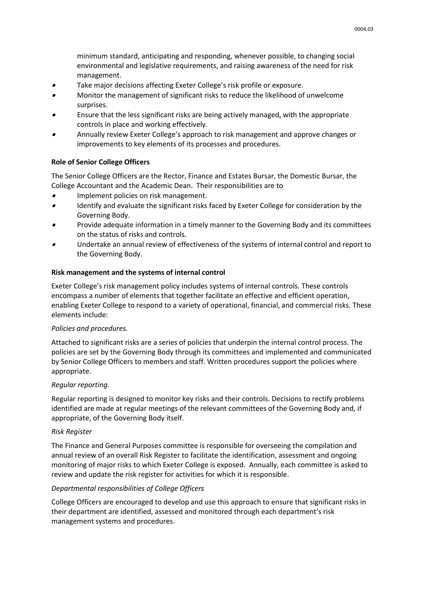minimum standard, anticipating and responding, whenever possible, to changing social environmental and legislative requirements, and raising awareness of the need for risk management.

- •Take major decisions affecting Exeter College's risk profile or exposure.
- • Monitor the management of significant risks to reduce the likelihood of unwelcome surprises.
- • Ensure that the less significant risks are being actively managed, with the appropriate controls in place and working effectively.
- • Annually review Exeter College's approach to risk management and approve changes or improvements to key elements of its processes and procedures.

### **Role of Senior College Officers**

The Senior College Officers are the Rector, Finance and Estates Bursar, the Domestic Bursar, the College Accountant and the Academic Dean. Their responsibilities are to

- •Implement policies on risk management.
- • Identify and evaluate the significant risks faced by Exeter College for consideration by the Governing Body.
- • Provide adequate information in a timely manner to the Governing Body and its committees on the status of risks and controls.
- • Undertake an annual review of effectiveness of the systems of internal control and report to the Governing Body.

### **Risk management and the systems of internal control**

Exeter College's risk management policy includes systems of internal controls. These controls encompass a number of elements that together facilitate an effective and efficient operation, enabling Exeter College to respond to a variety of operational, financial, and commercial risks. These elements include:

#### *Policies and procedures.*

Attached to significant risks are a series of policies that underpin the internal control process. The policies are set by the Governing Body through its committees and implemented and communicated by Senior College Officers to members and staff. Written procedures support the policies where appropriate.

#### *Regular reporting.*

Regular reporting is designed to monitor key risks and their controls. Decisions to rectify problems identified are made at regular meetings of the relevant committees of the Governing Body and, if appropriate, of the Governing Body itself.

#### *Risk Register*

The Finance and General Purposes committee is responsible for overseeing the compilation and annual review of an overall Risk Register to facilitate the identification, assessment and ongoing monitoring of major risks to which Exeter College is exposed. Annually, each committee is asked to review and update the risk register for activities for which it is responsible.

# *Departmental responsibilities of College Officers*

College Officers are encouraged to develop and use this approach to ensure that significant risks in their department are identified, assessed and monitored through each department's risk management systems and procedures.